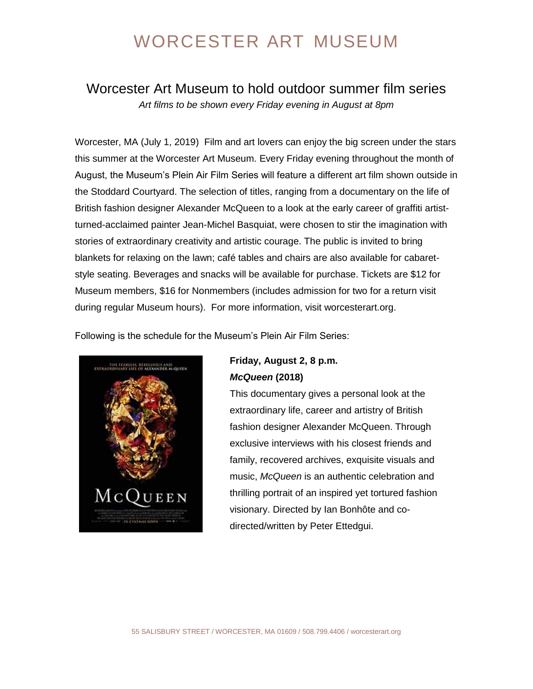### Worcester Art Museum to hold outdoor summer film series *Art films to be shown every Friday evening in August at 8pm*

Worcester, MA (July 1, 2019) Film and art lovers can enjoy the big screen under the stars this summer at the Worcester Art Museum. Every Friday evening throughout the month of August, the Museum's Plein Air Film Series will feature a different art film shown outside in the Stoddard Courtyard. The selection of titles, ranging from a documentary on the life of British fashion designer Alexander McQueen to a look at the early career of graffiti artistturned-acclaimed painter Jean-Michel Basquiat, were chosen to stir the imagination with stories of extraordinary creativity and artistic courage. The public is invited to bring blankets for relaxing on the lawn; café tables and chairs are also available for cabaretstyle seating. Beverages and snacks will be available for purchase. Tickets are \$12 for Museum members, \$16 for Nonmembers (includes admission for two for a return visit during regular Museum hours). For more information, visit worcesterart.org.

Following is the schedule for the Museum's Plein Air Film Series:



### **Friday, August 2, 8 p.m.** *McQueen* **(2018)**

This documentary gives a personal look at the extraordinary life, career and artistry of British fashion designer Alexander McQueen. Through exclusive interviews with his closest friends and family, recovered archives, exquisite visuals and music, *McQueen* is an authentic celebration and thrilling portrait of an inspired yet tortured fashion visionary. Directed by Ian Bonhôte and codirected/written by Peter Ettedgui.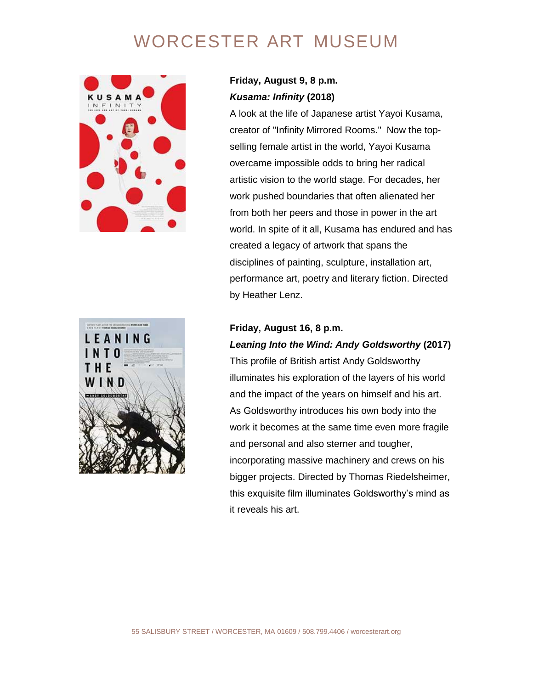



### **Friday, August 9, 8 p.m.** *Kusama: Infinity* **(2018)**

A look at the life of Japanese artist Yayoi Kusama, creator of "Infinity Mirrored Rooms." Now the topselling female artist in the world, Yayoi Kusama overcame impossible odds to bring her radical artistic vision to the world stage. For decades, her work pushed boundaries that often alienated her from both her peers and those in power in the art world. In spite of it all, Kusama has endured and has created a legacy of artwork that spans the disciplines of painting, sculpture, installation art, performance art, poetry and literary fiction. Directed by Heather Lenz.

#### **Friday, August 16, 8 p.m.**

#### *Leaning Into the Wind: Andy Goldsworthy* **(2017)**

This profile of British artist Andy Goldsworthy illuminates his exploration of the layers of his world and the impact of the years on himself and his art. As Goldsworthy introduces his own body into the work it becomes at the same time even more fragile and personal and also sterner and tougher, incorporating massive machinery and crews on his bigger projects. Directed by Thomas Riedelsheimer, this exquisite film illuminates Goldsworthy's mind as it reveals his art.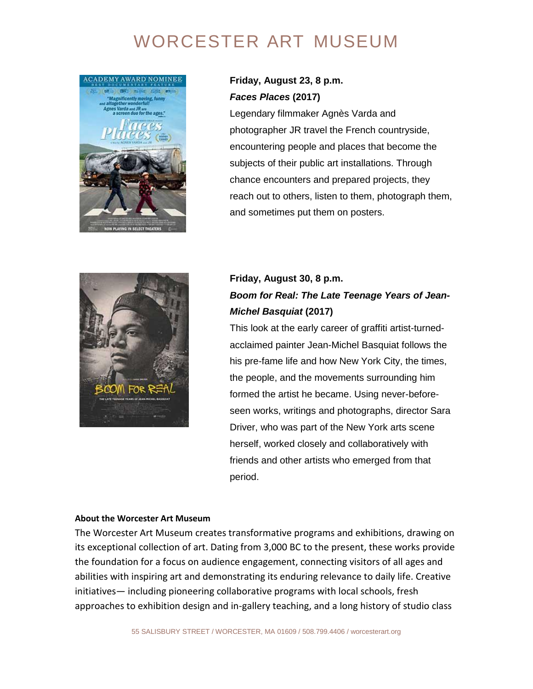

### **Friday, August 23, 8 p.m.** *Faces Places* **(2017)**

Legendary filmmaker Agnès Varda and photographer JR travel the French countryside, encountering people and places that become the subjects of their public art installations. Through chance encounters and prepared projects, they reach out to others, listen to them, photograph them, and sometimes put them on posters.



### **Friday, August 30, 8 p.m.** *Boom for Real: The Late Teenage Years of Jean-Michel Basquiat* **(2017)**

This look at the early career of graffiti artist-turnedacclaimed painter Jean-Michel Basquiat follows the his pre-fame life and how New York City, the times, the people, and the movements surrounding him formed the artist he became. Using never-beforeseen works, writings and photographs, director Sara Driver, who was part of the New York arts scene herself, worked closely and collaboratively with friends and other artists who emerged from that period.

#### **About the Worcester Art Museum**

The Worcester Art Museum creates transformative programs and exhibitions, drawing on its exceptional collection of art. Dating from 3,000 BC to the present, these works provide the foundation for a focus on audience engagement, connecting visitors of all ages and abilities with inspiring art and demonstrating its enduring relevance to daily life. Creative initiatives— including pioneering collaborative programs with local schools, fresh approaches to exhibition design and in-gallery teaching, and a long history of studio class